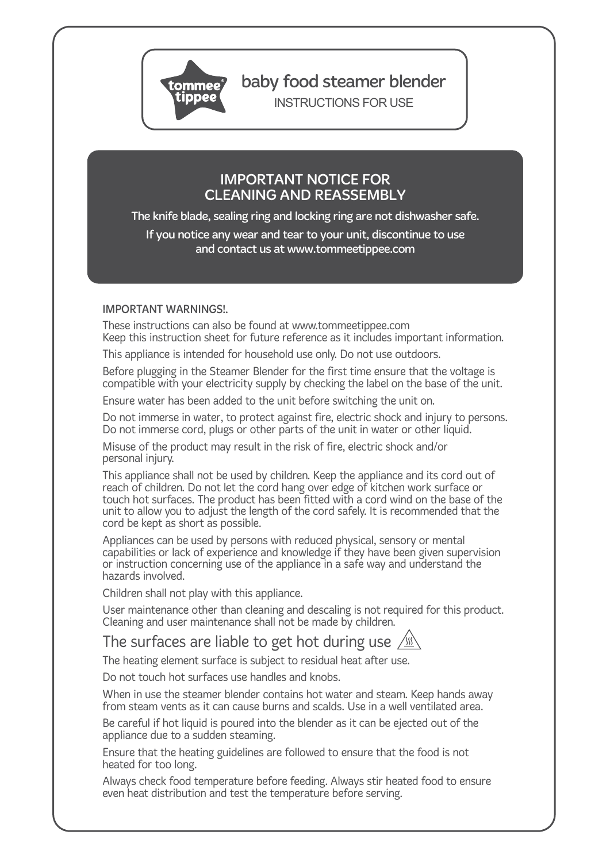

baby food steamer blender

INSTRUCTIONS FOR USE

# IMPORTANT NOTICE FOR CLEANING AND REASSEMBLY

The knife blade, sealing ring and locking ring are not dishwasher safe.

If you notice any wear and tear to your unit, discontinue to use and contact us at www.tommeetippee.com

# IMPORTANT WARNINGS!.

These instructions can also be found at www.tommeetippee.com Keep this instruction sheet for future reference as it includes important information.

This appliance is intended for household use only. Do not use outdoors.

Before plugging in the Steamer Blender for the first time ensure that the voltage is compatible with your electricity supply by checking the label on the base of the unit.

Ensure water has been added to the unit before switching the unit on.

Do not immerse in water, to protect against fire, electric shock and injury to persons. Do not immerse cord, plugs or other parts of the unit in water or other liquid.

Misuse of the product may result in the risk of fire, electric shock and/or personal injury.

This appliance shall not be used by children. Keep the appliance and its cord out of reach of children. Do not let the cord hang over edge of kitchen work surface or touch hot surfaces. The product has been fitted with a cord wind on the base of the unit to allow you to adjust the length of the cord safely. It is recommended that the cord be kept as short as possible.

Appliances can be used by persons with reduced physical, sensory or mental capabilities or lack of experience and knowledge if they have been given supervision or instruction concerning use of the appliance in a safe way and understand the hazards involved.

Children shall not play with this appliance.

User maintenance other than cleaning and descaling is not required for this product. Cleaning and user maintenance shall not be made by children.

The surfaces are liable to get hot during use  $\sin$ 

The heating element surface is subject to residual heat after use.

Do not touch hot surfaces use handles and knobs.

When in use the steamer blender contains hot water and steam. Keep hands away from steam vents as it can cause burns and scalds. Use in a well ventilated area.

Be careful if hot liquid is poured into the blender as it can be ejected out of the appliance due to a sudden steaming.

Ensure that the heating guidelines are followed to ensure that the food is not heated for too long.

Always check food temperature before feeding. Always stir heated food to ensure even heat distribution and test the temperature before serving.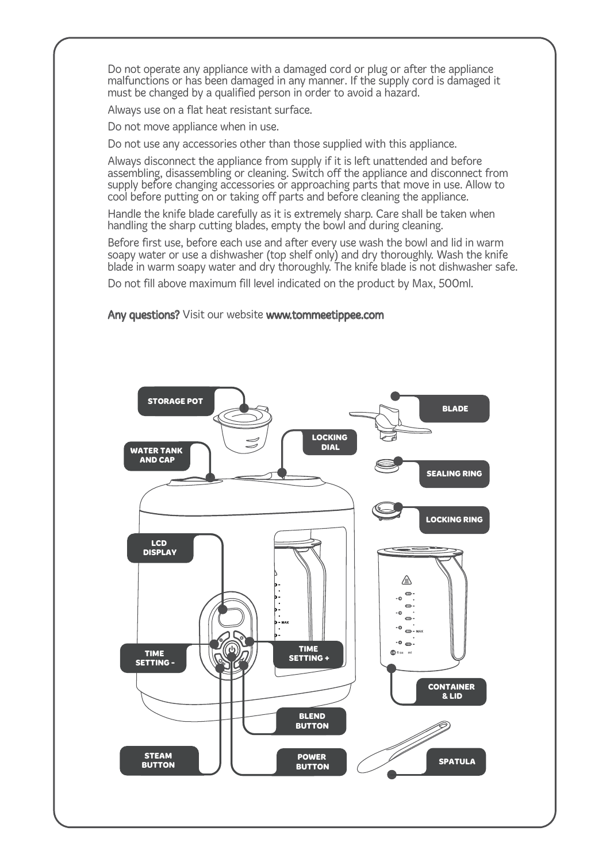Do not operate any appliance with a damaged cord or plug or after the appliance malfunctions or has been damaged in any manner. If the supply cord is damaged it must be changed by a qualified person in order to avoid a hazard.

Always use on a flat heat resistant surface.

Do not move appliance when in use.

Do not use any accessories other than those supplied with this appliance.

Always disconnect the appliance from supply if it is left unattended and before assembling, disassembling or cleaning. Switch off the appliance and disconnect from supply before changing accessories or approaching parts that move in use. Allow to cool before putting on or taking off parts and before cleaning the appliance.

Handle the knife blade carefully as it is extremely sharp. Care shall be taken when handling the sharp cutting blades, empty the bowl and during cleaning.

Before first use, before each use and after every use wash the bowl and lid in warm soapy water or use a dishwasher (top shelf only) and dry thoroughly. Wash the knife blade in warm soapy water and dry thoroughly. The knife blade is not dishwasher safe.

Do not fill above maximum fill level indicated on the product by Max, 500ml.

### Any questions? Visit our website www.tommeetippee.com

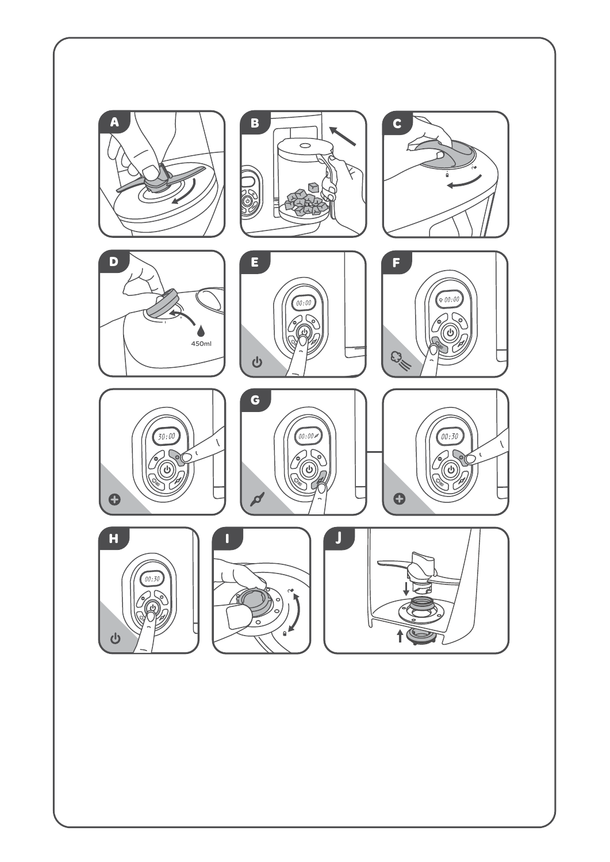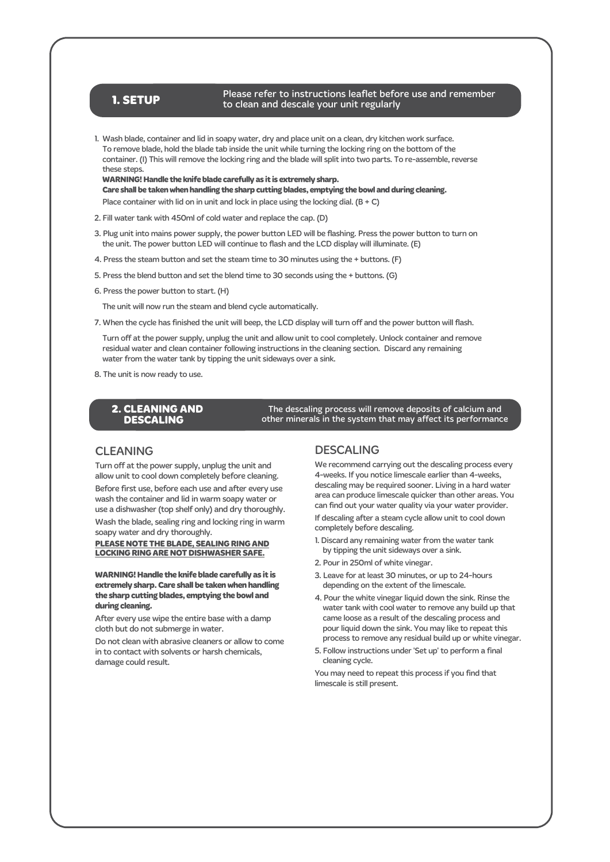#### **1. SETUP** Please refer to instructions leaflet before use and remember to clean and descale your unit regularly

1. Wash blade, container and lid in soapy water, dry and place unit on a clean, dry kitchen work surface. To remove blade, hold the blade tab inside the unit while turning the locking ring on the bottom of the container. (I) This will remove the locking ring and the blade will split into two parts. To re-assemble, reverse these steps.

**WARNING! Handle the knife blade carefully as it is extremely sharp. Care shall be taken when handling the sharp cutting blades, emptying the bowl and during cleaning.** 

Place container with lid on in unit and lock in place using the locking dial.  $(B + C)$ 

- 2. Fill water tank with 450ml of cold water and replace the cap. (D)
- 3. Plug unit into mains power supply, the power button LED will be flashing. Press the power button to turn on the unit. The power button LED will continue to flash and the LCD display will illuminate. (E)
- 4. Press the steam button and set the steam time to 30 minutes using the + buttons. (F)
- 5. Press the blend button and set the blend time to 30 seconds using the + buttons. (G)
- 6. Press the power button to start. (H)

The unit will now run the steam and blend cycle automatically.

7. When the cycle has finished the unit will beep, the LCD display will turn off and the power button will flash.

 Turn off at the power supply, unplug the unit and allow unit to cool completely. Unlock container and remove residual water and clean container following instructions in the cleaning section. Discard any remaining water from the water tank by tipping the unit sideways over a sink.

8. The unit is now ready to use.

#### **2. CLEANING AND DESCALING**

The descaling process will remove deposits of calcium and other minerals in the system that may affect its performance

#### CLEANING

Turn off at the power supply, unplug the unit and allow unit to cool down completely before cleaning. Before first use, before each use and after every use wash the container and lid in warm soapy water or use a dishwasher (top shelf only) and dry thoroughly. Wash the blade, sealing ring and locking ring in warm soapy water and dry thoroughly.

**PLEASE NOTE THE BLADE, SEALING RING AND LOCKING RING ARE NOT DISHWASHER SAFE.**

**WARNING! Handle the knife blade carefully as it is extremely sharp. Care shall be taken when handling the sharp cutting blades, emptying the bowl and during cleaning.** 

After every use wipe the entire base with a damp cloth but do not submerge in water.

Do not clean with abrasive cleaners or allow to come in to contact with solvents or harsh chemicals, damage could result.

#### DESCALING

We recommend carrying out the descaling process every 4-weeks. If you notice limescale earlier than 4-weeks, descaling may be required sooner. Living in a hard water area can produce limescale quicker than other areas. You can find out your water quality via your water provider. If descaling after a steam cycle allow unit to cool down completely before descaling.

- 1. Discard any remaining water from the water tank by tipping the unit sideways over a sink.
- 2. Pour in 250ml of white vinegar.
- 3. Leave for at least 30 minutes, or up to 24-hours depending on the extent of the limescale.
- 4. Pour the white vinegar liquid down the sink. Rinse the water tank with cool water to remove any build up that came loose as a result of the descaling process and pour liquid down the sink. You may like to repeat this process to remove any residual build up or white vinegar.
- 5. Follow instructions under 'Set up' to perform a final cleaning cycle.

You may need to repeat this process if you find that limescale is still present.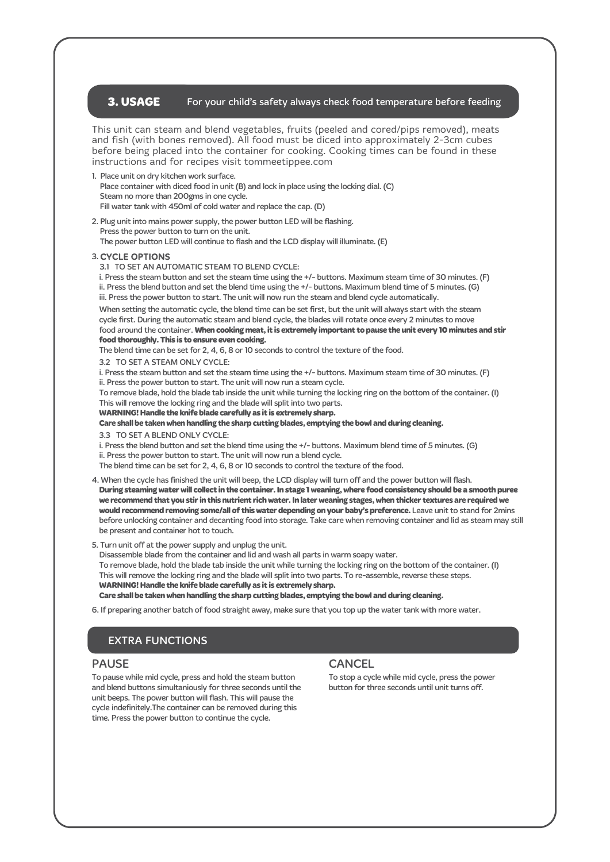# **3. USAGE** For your child's safety always check food temperature before feeding

This unit can steam and blend vegetables, fruits (peeled and cored/pips removed), meats and fish (with bones removed). All food must be diced into approximately 2-3cm cubes before being placed into the container for cooking. Cooking times can be found in these instructions and for recipes visit tommeetippee.com

- 1. Place unit on dry kitchen work surface. Place container with diced food in unit (B) and lock in place using the locking dial. (C) Steam no more than 200gms in one cycle. Fill water tank with 450ml of cold water and replace the cap. (D)
- 2. Plug unit into mains power supply, the power button LED will be flashing. Press the power button to turn on the unit. The power button LED will continue to flash and the LCD display will illuminate. (E)

#### 3. CYCLE OPTIONS

3.1 TO SET AN AUTOMATIC STEAM TO BLEND CYCLE:

 i. Press the steam button and set the steam time using the +/- buttons. Maximum steam time of 30 minutes. (F) ii. Press the blend button and set the blend time using the +/- buttons. Maximum blend time of 5 minutes. (G) iii. Press the power button to start. The unit will now run the steam and blend cycle automatically.

 When setting the automatic cycle, the blend time can be set first, but the unit will always start with the steam cycle first. During the automatic steam and blend cycle, the blades will rotate once every 2 minutes to move food around the container. **When cooking meat, it is extremely important to pause the unit every 10 minutes and stir food thoroughly. This is to ensure even cooking.**

The blend time can be set for 2, 4, 6, 8 or 10 seconds to control the texture of the food.

3.2 TO SET A STEAM ONLY CYCLE:

 i. Press the steam button and set the steam time using the +/- buttons. Maximum steam time of 30 minutes. (F) ii. Press the power button to start. The unit will now run a steam cycle.

 To remove blade, hold the blade tab inside the unit while turning the locking ring on the bottom of the container. (I) This will remove the locking ring and the blade will split into two parts.

 **WARNING! Handle the knife blade carefully as it is extremely sharp.** 

# **Care shall be taken when handling the sharp cutting blades, emptying the bowl and during cleaning.**

3.3 TO SET A BLEND ONLY CYCLE:

 i. Press the blend button and set the blend time using the +/- buttons. Maximum blend time of 5 minutes. (G) ii. Press the power button to start. The unit will now run a blend cycle.

The blend time can be set for 2, 4, 6, 8 or 10 seconds to control the texture of the food.

- 4. When the cycle has finished the unit will beep, the LCD display will turn off and the power button will flash. **During steaming water will collect in the container. In stage 1 weaning, where food consistency should be a smooth puree we recommend that you stir in this nutrient rich water. In later weaning stages, when thicker textures are required we would recommend removing some/all of this water depending on your baby's preference.** Leave unit to stand for 2mins before unlocking container and decanting food into storage. Take care when removing container and lid as steam may still be present and container hot to touch.
- 5. Turn unit off at the power supply and unplug the unit.

 Disassemble blade from the container and lid and wash all parts in warm soapy water. To remove blade, hold the blade tab inside the unit while turning the locking ring on the bottom of the container. (I) This will remove the locking ring and the blade will split into two parts. To re-assemble, reverse these steps.  **WARNING! Handle the knife blade carefully as it is extremely sharp.** 

 **Care shall be taken when handling the sharp cutting blades, emptying the bowl and during cleaning.** 

6. If preparing another batch of food straight away, make sure that you top up the water tank with more water.

# EXTRA FUNCTIONS

#### PAUSE

To pause while mid cycle, press and hold the steam button and blend buttons simultaniously for three seconds until the unit beeps. The power button will flash. This will pause the cycle indefinitely.The container can be removed during this time. Press the power button to continue the cycle.

#### **CANCEL**

To stop a cycle while mid cycle, press the power button for three seconds until unit turns off.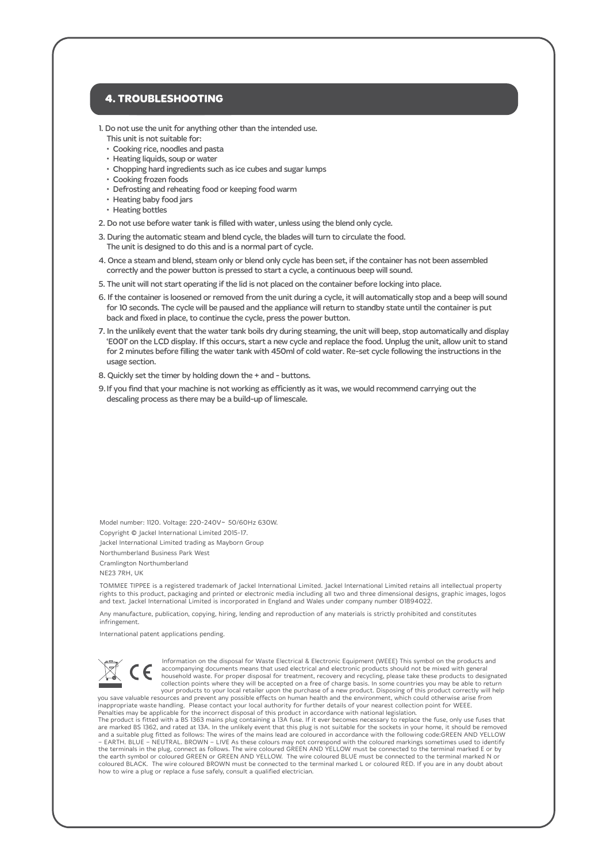#### **4. TROUBLESHOOTING**

- 1. Do not use the unit for anything other than the intended use.
	- This unit is not suitable for:
	- Cooking rice, noodles and pasta
	- Heating liquids, soup or water
	- Chopping hard ingredients such as ice cubes and sugar lumps
	- Cooking frozen foods
	- Defrosting and reheating food or keeping food warm
	- Heating baby food jars
- Heating bottles

2. Do not use before water tank is filled with water, unless using the blend only cycle.

- 3. During the automatic steam and blend cycle, the blades will turn to circulate the food. The unit is designed to do this and is a normal part of cycle.
- 4. Once a steam and blend, steam only or blend only cycle has been set, if the container has not been assembled correctly and the power button is pressed to start a cycle, a continuous beep will sound.
- 5. The unit will not start operating if the lid is not placed on the container before locking into place.
- 6. If the container is loosened or removed from the unit during a cycle, it will automatically stop and a beep will sound for 10 seconds. The cycle will be paused and the appliance will return to standby state until the container is put back and fixed in place, to continue the cycle, press the power button.
- 7. In the unlikely event that the water tank boils dry during steaming, the unit will beep, stop automatically and display 'E001' on the LCD display. If this occurs, start a new cycle and replace the food. Unplug the unit, allow unit to stand for 2 minutes before filling the water tank with 450ml of cold water. Re-set cycle following the instructions in the usage section.
- 8. Quickly set the timer by holding down the + and buttons.
- 9. If you find that your machine is not working as efficiently as it was, we would recommend carrying out the descaling process as there may be a build-up of limescale.

Model number: 1120. Voltage: 220-240V~ 50/60Hz 630W. Copyright © Jackel International Limited 2015-17. Jackel International Limited trading as Mayborn Group

Northumberland Business Park West

Cramlington Northumberland

NE23 7RH, UK

TOMMEE TIPPEE is a registered trademark of Jackel International Limited. Jackel International Limited retains all intellectual property rights to this product, packaging and printed or electronic media including all two and three dimensional designs, graphic images, logos and text. Jackel International Limited is incorporated in England and Wales under company number 01894022.

Any manufacture, publication, copying, hiring, lending and reproduction of any materials is strictly prohibited and constitutes infringement.

International patent applications pending.



Information on the disposal for Waste Electrical & Electronic Equipment (WEEE) This symbol on the products and accompanying documents means that used electrical and electronic products should not be mixed with general household waste. For proper disposal for treatment, recovery and recycling, please take these products to designated<br>collection points where they will be accepted on a free of charge basis. In some countries you may be abl your products to your local retailer upon the purchase of a new product. Disposing of this product correctly will help<br>you save valuable resources and prevent any possible effects on human health and the environment, which

inappropriate waste handling. Please contact your local authority for further details of your nearest collection point for WEEE.<br>Penalties may be applicable for the incorrect disposal of this product in accordance with nat The product is fitted with a BS 1363 mains plug containing a 13A fuse. If it ever becomes necessary to replace the fuse, only use fuses that<br>are marked BS 1362, and rated at 13A. In the unlikely event that this plug is not – EARTH. BLUE – NEUTRAL. BROWN – LIVE As these colours may not correspond with the coloured markings sometimes used to identify<br>the terminals in the plug, connect as follows. The wire coloured GREEN AND YELLOW must be conn the earth symbol or coloured GREEN or GREEN AND YELLOW. The wire coloured BLUE must be connected to the terminal marked N or coloured BLACK. The wire coloured BROWN must be connected to the terminal marked L or coloured RED. If you are in any doubt about how to wire a plug or replace a fuse safely, consult a qualified electrician.